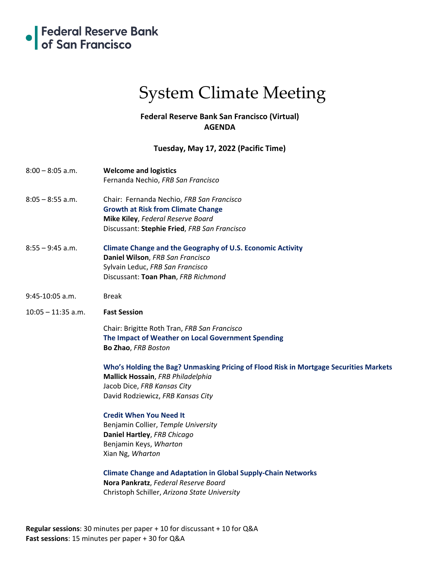

# System Climate Meeting

## **Federal Reserve Bank San Francisco (Virtual) AGENDA**

### **Tuesday, May 17, 2022 (Pacific Time)**

- 8:00 8:05 a.m. **Welcome and logistics** Fernanda Nechio, *FRB San Francisco*
- 8:05 8:55 a.m. Chair: Fernanda Nechio, *FRB San Francisco* **Growth at Risk from Climate Change Mike Kiley**, *Federal Reserve Board* Discussant: **Stephie Fried**, *FRB San Francisco*
- 8:55 9:45 a.m. **Climate Change and the Geography of U.S. Economic Activity Daniel Wilson**, *FRB San Francisco* Sylvain Leduc, *FRB San Francisco* Discussant: **Toan Phan**, *FRB Richmond*
- 9:45-10:05 a.m. Break
- 10:05 11:35 a.m. **Fast Session**

Chair: Brigitte Roth Tran, *FRB San Francisco* **The Impact of Weather on Local Government Spending Bo Zhao**, *FRB Boston*

**Who's Holding the Bag? Unmasking Pricing of Flood Risk in Mortgage Securities Markets Mallick Hossain**, *FRB Philadelphia* Jacob Dice, *FRB Kansas City* David Rodziewicz, *FRB Kansas City*

#### **Credit When You Need It**

Benjamin Collier, *Temple University* **Daniel Hartley**, *FRB Chicago* Benjamin Keys, *Wharton* Xian Ng, *Wharton*

**Climate Change and Adaptation in Global Supply-Chain Networks Nora Pankratz**, *Federal Reserve Board* Christoph Schiller, *Arizona State University*